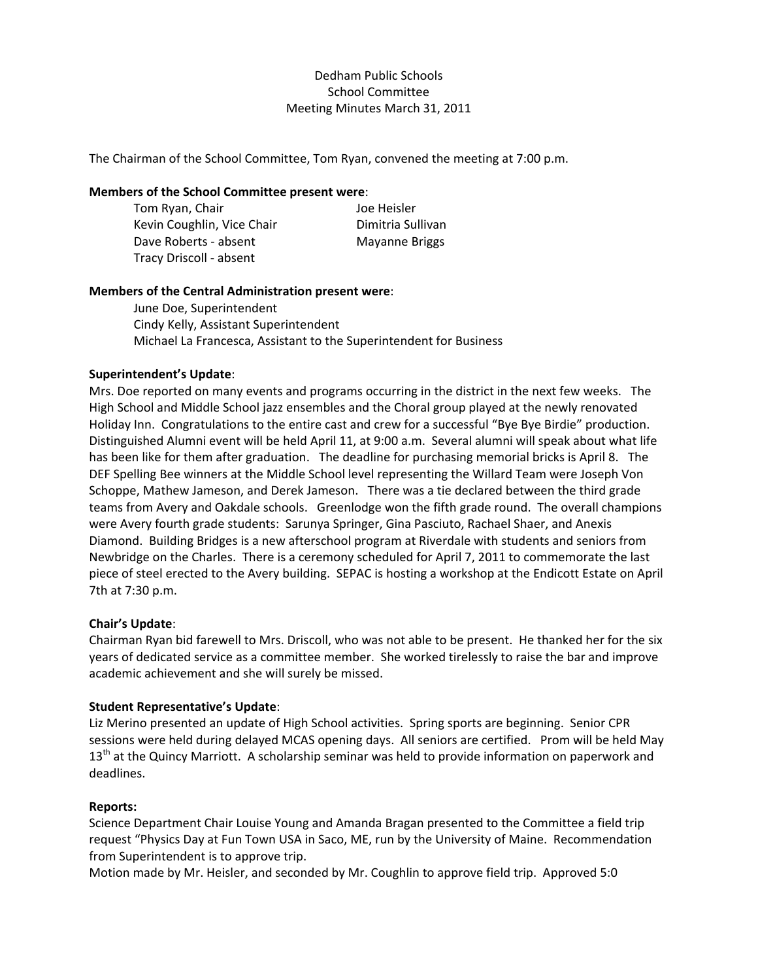# Dedham Public Schools School Committee Meeting Minutes March 31, 2011

The Chairman of the School Committee, Tom Ryan, convened the meeting at 7:00 p.m.

## **Members of the School Committee present were**:

| Tom Ryan, Chair            | Joe Heisler       |
|----------------------------|-------------------|
| Kevin Coughlin, Vice Chair | Dimitria Sullivan |
| Dave Roberts - absent      | Mayanne Briggs    |
| Tracy Driscoll - absent    |                   |

# **Members of the Central Administration present were**:

June Doe, Superintendent Cindy Kelly, Assistant Superintendent Michael La Francesca, Assistant to the Superintendent for Business

# **Superintendent's Update**:

Mrs. Doe reported on many events and programs occurring in the district in the next few weeks. The High School and Middle School jazz ensembles and the Choral group played at the newly renovated Holiday Inn. Congratulations to the entire cast and crew for a successful "Bye Bye Birdie" production. Distinguished Alumni event will be held April 11, at 9:00 a.m. Several alumni will speak about what life has been like for them after graduation. The deadline for purchasing memorial bricks is April 8. The DEF Spelling Bee winners at the Middle School level representing the Willard Team were Joseph Von Schoppe, Mathew Jameson, and Derek Jameson. There was a tie declared between the third grade teams from Avery and Oakdale schools. Greenlodge won the fifth grade round. The overall champions were Avery fourth grade students: Sarunya Springer, Gina Pasciuto, Rachael Shaer, and Anexis Diamond. Building Bridges is a new afterschool program at Riverdale with students and seniors from Newbridge on the Charles. There is a ceremony scheduled for April 7, 2011 to commemorate the last piece of steel erected to the Avery building. SEPAC is hosting a workshop at the Endicott Estate on April 7th at 7:30 p.m.

### **Chair's Update**:

Chairman Ryan bid farewell to Mrs. Driscoll, who was not able to be present. He thanked her for the six years of dedicated service as a committee member. She worked tirelessly to raise the bar and improve academic achievement and she will surely be missed.

### **Student Representative's Update**:

Liz Merino presented an update of High School activities. Spring sports are beginning. Senior CPR sessions were held during delayed MCAS opening days. All seniors are certified. Prom will be held May  $13<sup>th</sup>$  at the Quincy Marriott. A scholarship seminar was held to provide information on paperwork and deadlines.

### **Reports:**

Science Department Chair Louise Young and Amanda Bragan presented to the Committee a field trip request "Physics Day at Fun Town USA in Saco, ME, run by the University of Maine. Recommendation from Superintendent is to approve trip.

Motion made by Mr. Heisler, and seconded by Mr. Coughlin to approve field trip. Approved 5:0